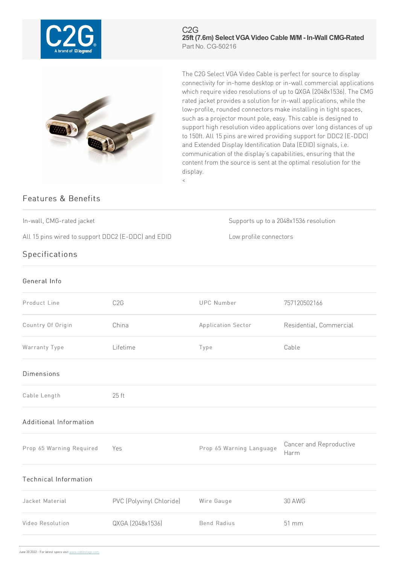

C2G **25ft (7.6m) Select VGAVideo Cable M/M - In-Wall CMG-Rated** Part No. CG-50216



The C2G Select VGA Video Cable is perfect for source to display connectivity for in-home desktop or in-wall commercial applications which require video resolutions of up to QXGA (2048x1536). The CMG rated jacket provides a solution for in-wall applications, while the low-profile, rounded connectors make installing in tight spaces, such as a projector mount pole, easy. This cable is designed to support high resolution video applications over long distances of up to 150ft. All 15 pins are wired providing support for DDC2 (E-DDC) and Extended Display Identification Data (EDID) signals, i.e. communication of the display's capabilities, ensuring that the content from the source is sent at the optimal resolution for the display.

## Features & Benefits

In-wall, CMG-rated jacket Supports up to a 2048x1536 resolution

All 15 pins wired to support DDC2 (E-DDC) and EDID Low profile connectors

## **Specifications**

## General Info

| Product Line                 | C <sub>2</sub> G         | <b>UPC Number</b>        | 757120502166                    |
|------------------------------|--------------------------|--------------------------|---------------------------------|
| Country Of Origin            | China                    | Application Sector       | Residential, Commercial         |
| Warranty Type                | Lifetime                 | Type                     | Cable                           |
| <b>Dimensions</b>            |                          |                          |                                 |
| Cable Length                 | 25 ft                    |                          |                                 |
| Additional Information       |                          |                          |                                 |
| Prop 65 Warning Required     | Yes                      | Prop 65 Warning Language | Cancer and Reproductive<br>Harm |
| <b>Technical Information</b> |                          |                          |                                 |
| Jacket Material              | PVC (Polyvinyl Chloride) | Wire Gauge               | <b>30 AWG</b>                   |
| Video Resolution             | QXGA (2048x1536)         | <b>Bend Radius</b>       | 51 mm                           |
|                              |                          |                          |                                 |

 $\,<$